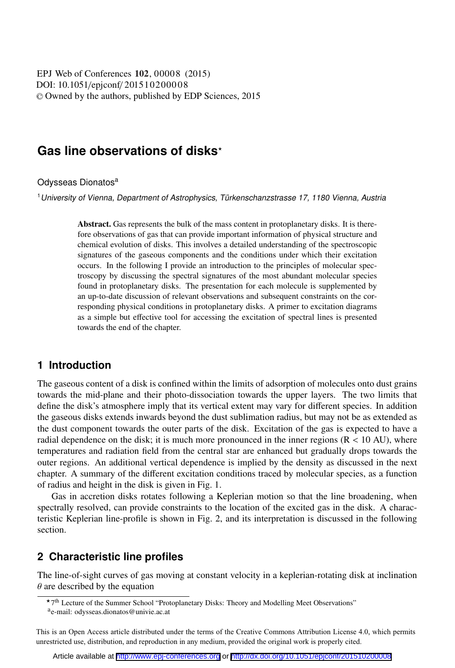DOI: 10.1051/epjconf/ 201510200008 -<sup>C</sup> Owned by the authors, published by EDP Sciences, 2015 EPJ Web of Conferences 102, 00008 (2015)

# **Gas line observations of disks**-

Odysseas Dionatos<sup>a</sup>

<sup>1</sup> University of Vienna, Department of Astrophysics, Türkenschanzstrasse 17, 1180 Vienna, Austria

Abstract. Gas represents the bulk of the mass content in protoplanetary disks. It is therefore observations of gas that can provide important information of physical structure and chemical evolution of disks. This involves a detailed understanding of the spectroscopic signatures of the gaseous components and the conditions under which their excitation occurs. In the following I provide an introduction to the principles of molecular spectroscopy by discussing the spectral signatures of the most abundant molecular species found in protoplanetary disks. The presentation for each molecule is supplemented by an up-to-date discussion of relevant observations and subsequent constraints on the corresponding physical conditions in protoplanetary disks. A primer to excitation diagrams as a simple but effective tool for accessing the excitation of spectral lines is presented towards the end of the chapter.

## **1 Introduction**

The gaseous content of a disk is confined within the limits of adsorption of molecules onto dust grains towards the mid-plane and their photo-dissociation towards the upper layers. The two limits that define the disk's atmosphere imply that its vertical extent may vary for different species. In addition the gaseous disks extends inwards beyond the dust sublimation radius, but may not be as extended as the dust component towards the outer parts of the disk. Excitation of the gas is expected to have a radial dependence on the disk; it is much more pronounced in the inner regions  $(R < 10 \text{ AU})$ , where temperatures and radiation field from the central star are enhanced but gradually drops towards the outer regions. An additional vertical dependence is implied by the density as discussed in the next chapter. A summary of the different excitation conditions traced by molecular species, as a function of radius and height in the disk is given in Fig. 1.

Gas in accretion disks rotates following a Keplerian motion so that the line broadening, when spectrally resolved, can provide constraints to the location of the excited gas in the disk. A characteristic Keplerian line-profile is shown in Fig. 2, and its interpretation is discussed in the following section.

## **2 Characteristic line profiles**

The line-of-sight curves of gas moving at constant velocity in a keplerian-rotating disk at inclination  $\theta$  are described by the equation

<sup>\*7&</sup>lt;sup>th</sup> Lecture of the Summer School "Protoplanetary Disks: Theory and Modelling Meet Observations" <sup>a</sup>e-mail: odysseas.dionatos@univie.ac.at

This is an Open Access article distributed under the terms of the Creative Commons Attribution License 4.0, which permits unrestricted use, distribution, and reproduction in any medium, provided the original work is properly cited.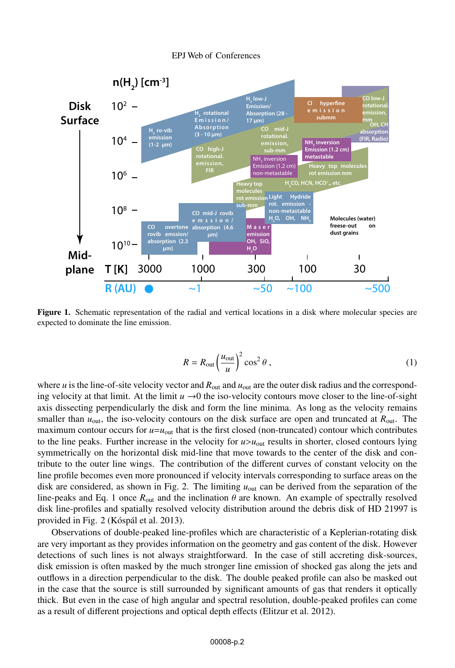

Figure 1. Schematic representation of the radial and vertical locations in a disk where molecular species are expected to dominate the line emission.

$$
R = R_{\text{out}} \left(\frac{u_{\text{out}}}{u}\right)^2 \cos^2 \theta , \qquad (1)
$$

where *u* is the line-of-site velocity vector and *R*<sub>out</sub> and *u*<sub>out</sub> are the outer disk radius and the corresponding velocity at that limit. At the limit  $u \rightarrow 0$  the iso-velocity contours move closer to the line-of-sight axis dissecting perpendicularly the disk and form the line minima. As long as the velocity remains smaller than  $u_{\text{out}}$ , the iso-velocity contours on the disk surface are open and truncated at  $R_{\text{out}}$ . The maximum contour occurs for  $u = u_{\text{out}}$  that is the first closed (non-truncated) contour which contributes to the line peaks. Further increase in the velocity for  $u > u_{\text{out}}$  results in shorter, closed contours lying symmetrically on the horizontal disk mid-line that move towards to the center of the disk and contribute to the outer line wings. The contribution of the different curves of constant velocity on the line profile becomes even more pronounced if velocity intervals corresponding to surface areas on the disk are considered, as shown in Fig. 2. The limiting  $u_{\text{out}}$  can be derived from the separation of the line-peaks and Eq. 1 once  $R_{out}$  and the inclination  $\theta$  are known. An example of spectrally resolved disk line-profiles and spatially resolved velocity distribution around the debris disk of HD 21997 is provided in Fig. 2 (Kóspál et al. 2013).

Observations of double-peaked line-profiles which are characteristic of a Keplerian-rotating disk are very important as they provides information on the geometry and gas content of the disk. However detections of such lines is not always straightforward. In the case of still accreting disk-sources, disk emission is often masked by the much stronger line emission of shocked gas along the jets and outflows in a direction perpendicular to the disk. The double peaked profile can also be masked out in the case that the source is still surrounded by significant amounts of gas that renders it optically thick. But even in the case of high angular and spectral resolution, double-peaked profiles can come as a result of different projections and optical depth effects (Elitzur et al. 2012).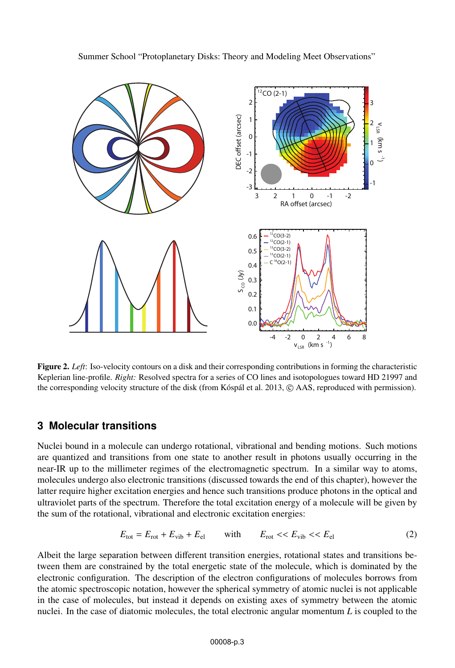

Figure 2. *Left*: Iso-velocity contours on a disk and their corresponding contributions in forming the characteristic Keplerian line-profile. *Right:* Resolved spectra for a series of CO lines and isotopologues toward HD 21997 and the corresponding velocity structure of the disk (from Kóspál et al. 2013,  $\odot$  AAS, reproduced with permission).

# **3 Molecular transitions**

Nuclei bound in a molecule can undergo rotational, vibrational and bending motions. Such motions are quantized and transitions from one state to another result in photons usually occurring in the near-IR up to the millimeter regimes of the electromagnetic spectrum. In a similar way to atoms, molecules undergo also electronic transitions (discussed towards the end of this chapter), however the latter require higher excitation energies and hence such transitions produce photons in the optical and ultraviolet parts of the spectrum. Therefore the total excitation energy of a molecule will be given by the sum of the rotational, vibrational and electronic excitation energies:

$$
E_{\text{tot}} = E_{\text{rot}} + E_{\text{vib}} + E_{\text{el}} \qquad \text{with} \qquad E_{\text{rot}} \ll E_{\text{vib}} \ll E_{\text{el}} \tag{2}
$$

Albeit the large separation between different transition energies, rotational states and transitions between them are constrained by the total energetic state of the molecule, which is dominated by the electronic configuration. The description of the electron configurations of molecules borrows from the atomic spectroscopic notation, however the spherical symmetry of atomic nuclei is not applicable in the case of molecules, but instead it depends on existing axes of symmetry between the atomic nuclei. In the case of diatomic molecules, the total electronic angular momentum *L* is coupled to the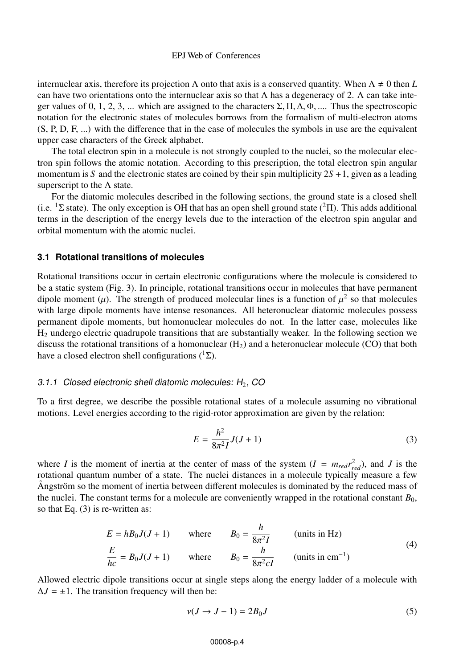internuclear axis, therefore its projection  $\Lambda$  onto that axis is a conserved quantity. When  $\Lambda \neq 0$  then *L* can have two orientations onto the internuclear axis so that  $\Lambda$  has a degeneracy of 2.  $\Lambda$  can take integer values of 0, 1, 2, 3, ... which are assigned to the characters  $\Sigma$ ,  $\Pi$ ,  $\Delta$ ,  $\Phi$ , .... Thus the spectroscopic notation for the electronic states of molecules borrows from the formalism of multi-electron atoms (S, P, D, F, ...) with the difference that in the case of molecules the symbols in use are the equivalent upper case characters of the Greek alphabet.

The total electron spin in a molecule is not strongly coupled to the nuclei, so the molecular electron spin follows the atomic notation. According to this prescription, the total electron spin angular momentum is *S* and the electronic states are coined by their spin multiplicity 2*S* +1, given as a leading superscript to the Λ state.

For the diatomic molecules described in the following sections, the ground state is a closed shell (i.e.  ${}^{1}\Sigma$  state). The only exception is OH that has an open shell ground state ( ${}^{2}\Pi$ ). This adds additional terms in the description of the energy levels due to the interaction of the electron spin angular and orbital momentum with the atomic nuclei.

### **3.1 Rotational transitions of molecules**

Rotational transitions occur in certain electronic configurations where the molecule is considered to be a static system (Fig. 3). In principle, rotational transitions occur in molecules that have permanent dipole moment ( $\mu$ ). The strength of produced molecular lines is a function of  $\mu^2$  so that molecules with large dipole moments have intense resonances. All heteronuclear diatomic molecules possess permanent dipole moments, but homonuclear molecules do not. In the latter case, molecules like H2 undergo electric quadrupole transitions that are substantially weaker. In the following section we discuss the rotational transitions of a homonuclear  $(H<sub>2</sub>)$  and a heteronuclear molecule (CO) that both have a closed electron shell configurations  $(1\Sigma)$ .

#### 3.1.1 Closed electronic shell diatomic molecules:  $H_2$ , CO

To a first degree, we describe the possible rotational states of a molecule assuming no vibrational motions. Level energies according to the rigid-rotor approximation are given by the relation:

$$
E = \frac{h^2}{8\pi^2 I} J(J+1)
$$
 (3)

where *I* is the moment of inertia at the center of mass of the system  $(I = m_{red} r_{red}^2)$ , and *J* is the rotational quantum number of a state. The nuclei distances in a molecule typically measure a few Ångström so the moment of inertia between different molecules is dominated by the reduced mass of the nuclei. The constant terms for a molecule are conveniently wrapped in the rotational constant  $B_0$ , so that Eq. (3) is re-written as:

$$
E = hB_0J(J+1) \quad \text{where} \quad B_0 = \frac{h}{8\pi^2 I} \quad \text{(units in Hz)}
$$
\n
$$
\frac{E}{hc} = B_0J(J+1) \quad \text{where} \quad B_0 = \frac{h}{8\pi^2 cI} \quad \text{(units in cm}^{-1})
$$
\n(4)

Allowed electric dipole transitions occur at single steps along the energy ladder of a molecule with  $\Delta J = \pm 1$ . The transition frequency will then be:

$$
\nu(J \to J - 1) = 2B_0 J \tag{5}
$$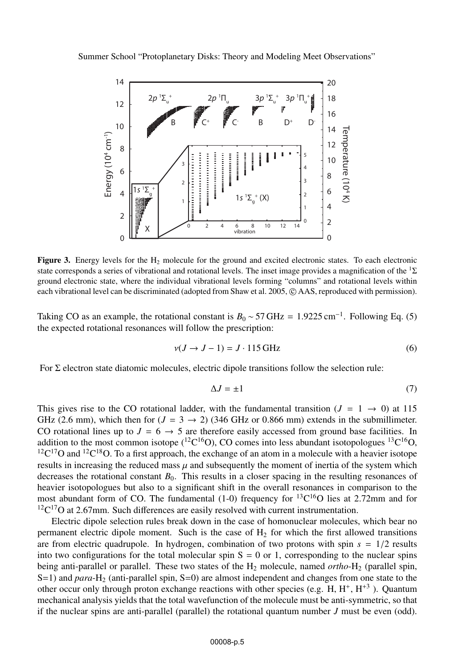

Figure 3. Energy levels for the  $H_2$  molecule for the ground and excited electronic states. To each electronic state corresponds a series of vibrational and rotational levels. The inset image provides a magnification of the  $1\Sigma$ ground electronic state, where the individual vibrational levels forming "columns" and rotational levels within each vibrational level can be discriminated (adopted from Shaw et al. 2005,  $\odot$  AAS, reproduced with permission).

Taking CO as an example, the rotational constant is  $B_0 \sim 57 \,\text{GHz} = 1.9225 \,\text{cm}^{-1}$ . Following Eq. (5) the expected rotational resonances will follow the prescription:

$$
v(J \to J - 1) = J \cdot 115 \text{ GHz}
$$
 (6)

For  $\Sigma$  electron state diatomic molecules, electric dipole transitions follow the selection rule:

$$
\Delta J = \pm 1\tag{7}
$$

This gives rise to the CO rotational ladder, with the fundamental transition  $(J = 1 \rightarrow 0)$  at 115 GHz (2.6 mm), which then for  $(J = 3 \rightarrow 2)$  (346 GHz or 0.866 mm) extends in the submillimeter. CO rotational lines up to  $J = 6 \rightarrow 5$  are therefore easily accessed from ground base facilities. In addition to the most common isotope  $({}^{12}C^{16}O)$ , CO comes into less abundant isotopologues  ${}^{13}C^{16}O$ ,  $12C^{17}$ O and  $12C^{18}$ O. To a first approach, the exchange of an atom in a molecule with a heavier isotope results in increasing the reduced mass  $\mu$  and subsequently the moment of inertia of the system which decreases the rotational constant  $B_0$ . This results in a closer spacing in the resulting resonances of heavier isotopologues but also to a significant shift in the overall resonances in comparison to the most abundant form of CO. The fundamental (1-0) frequency for  ${}^{13}C^{16}O$  lies at 2.72mm and for  $12^1$ C $17$ O at 2.67mm. Such differences are easily resolved with current instrumentation.

Electric dipole selection rules break down in the case of homonuclear molecules, which bear no permanent electric dipole moment. Such is the case of  $H<sub>2</sub>$  for which the first allowed transitions are from electric quadrupole. In hydrogen, combination of two protons with spin  $s = 1/2$  results into two configurations for the total molecular spin  $S = 0$  or 1, corresponding to the nuclear spins being anti-parallel or parallel. These two states of the H2 molecule, named *ortho*-H2 (parallel spin, S=1) and *para*-H<sub>2</sub> (anti-parallel spin, S=0) are almost independent and changes from one state to the other occur only through proton exchange reactions with other species (e.g. H,  $H^+, H^{+3}$ ). Quantum mechanical analysis yields that the total wavefunction of the molecule must be anti-symmetric, so that if the nuclear spins are anti-parallel (parallel) the rotational quantum number *J* must be even (odd).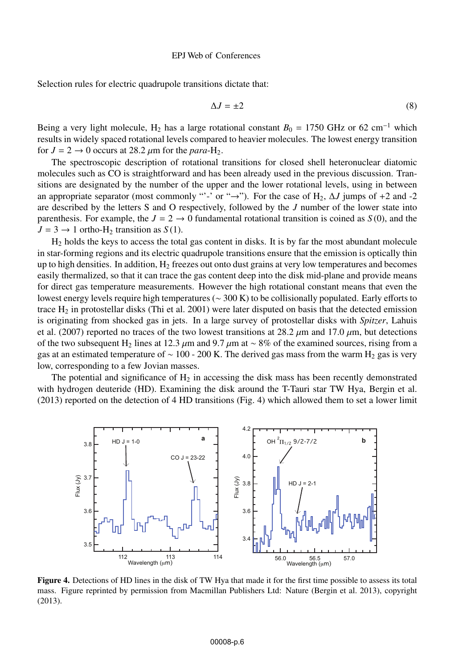Selection rules for electric quadrupole transitions dictate that:

$$
\Delta J = \pm 2 \tag{8}
$$

Being a very light molecule, H<sub>2</sub> has a large rotational constant  $B_0 = 1750$  GHz or 62 cm<sup>-1</sup> which results in widely spaced rotational levels compared to heavier molecules. The lowest energy transition for  $J = 2 \rightarrow 0$  occurs at 28.2  $\mu$ m for the *para*-H<sub>2</sub>.

The spectroscopic description of rotational transitions for closed shell heteronuclear diatomic molecules such as CO is straightforward and has been already used in the previous discussion. Transitions are designated by the number of the upper and the lower rotational levels, using in between an appropriate separator (most commonly "'-' or " $\rightarrow$ "). For the case of H<sub>2</sub>,  $\Delta J$  jumps of +2 and -2 are described by the letters S and O respectively, followed by the *J* number of the lower state into parenthesis. For example, the  $J = 2 \rightarrow 0$  fundamental rotational transition is coined as  $S(0)$ , and the  $J = 3 \rightarrow 1$  ortho-H<sub>2</sub> transition as *S*(1).

 $H<sub>2</sub>$  holds the keys to access the total gas content in disks. It is by far the most abundant molecule in star-forming regions and its electric quadrupole transitions ensure that the emission is optically thin up to high densities. In addition,  $H_2$  freezes out onto dust grains at very low temperatures and becomes easily thermalized, so that it can trace the gas content deep into the disk mid-plane and provide means for direct gas temperature measurements. However the high rotational constant means that even the lowest energy levels require high temperatures (∼ 300 K) to be collisionally populated. Early efforts to trace  $H_2$  in protostellar disks (Thi et al. 2001) were later disputed on basis that the detected emission is originating from shocked gas in jets. In a large survey of protostellar disks with *Spitzer*, Lahuis et al. (2007) reported no traces of the two lowest transitions at 28.2  $\mu$ m and 17.0  $\mu$ m, but detections of the two subsequent H<sub>2</sub> lines at 12.3  $\mu$ m and 9.7  $\mu$ m at ∼ 8% of the examined sources, rising from a gas at an estimated temperature of  $\sim 100 - 200$  K. The derived gas mass from the warm H<sub>2</sub> gas is very low, corresponding to a few Jovian masses.

The potential and significance of  $H_2$  in accessing the disk mass has been recently demonstrated with hydrogen deuteride (HD). Examining the disk around the T-Tauri star TW Hya, Bergin et al. (2013) reported on the detection of 4 HD transitions (Fig. 4) which allowed them to set a lower limit



Figure 4. Detections of HD lines in the disk of TW Hya that made it for the first time possible to assess its total mass. Figure reprinted by permission from Macmillan Publishers Ltd: Nature (Bergin et al. 2013), copyright (2013).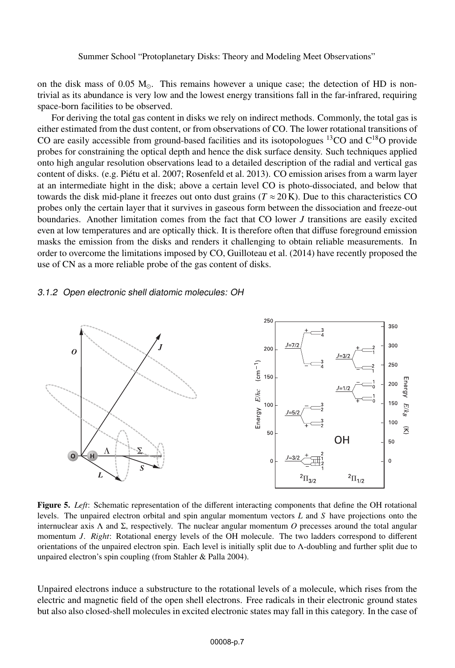on the disk mass of 0.05  $M_{\odot}$ . This remains however a unique case; the detection of HD is nontrivial as its abundance is very low and the lowest energy transitions fall in the far-infrared, requiring space-born facilities to be observed.

For deriving the total gas content in disks we rely on indirect methods. Commonly, the total gas is either estimated from the dust content, or from observations of CO. The lower rotational transitions of CO are easily accessible from ground-based facilities and its isotopologues  $^{13}$ CO and C<sup>18</sup>O provide probes for constraining the optical depth and hence the disk surface density. Such techniques applied onto high angular resolution observations lead to a detailed description of the radial and vertical gas content of disks. (e.g. Piétu et al. 2007; Rosenfeld et al. 2013). CO emission arises from a warm layer at an intermediate hight in the disk; above a certain level CO is photo-dissociated, and below that towards the disk mid-plane it freezes out onto dust grains ( $T \approx 20$  K). Due to this characteristics CO probes only the certain layer that it survives in gaseous form between the dissociation and freeze-out boundaries. Another limitation comes from the fact that CO lower *J* transitions are easily excited even at low temperatures and are optically thick. It is therefore often that diffuse foreground emission masks the emission from the disks and renders it challenging to obtain reliable measurements. In order to overcome the limitations imposed by CO, Guilloteau et al. (2014) have recently proposed the use of CN as a more reliable probe of the gas content of disks.

## 3.1.2 Open electronic shell diatomic molecules: OH



Figure 5. *Left*: Schematic representation of the different interacting components that define the OH rotational levels. The unpaired electron orbital and spin angular momentum vectors *L* and *S* have projections onto the internuclear axis Λ and Σ, respectively. The nuclear angular momentum *O* precesses around the total angular momentum *J*. *Right*: Rotational energy levels of the OH molecule. The two ladders correspond to different orientations of the unpaired electron spin. Each level is initially split due to Λ-doubling and further split due to unpaired electron's spin coupling (from Stahler & Palla 2004).

Unpaired electrons induce a substructure to the rotational levels of a molecule, which rises from the electric and magnetic field of the open shell electrons. Free radicals in their electronic ground states but also also closed-shell molecules in excited electronic states may fall in this category. In the case of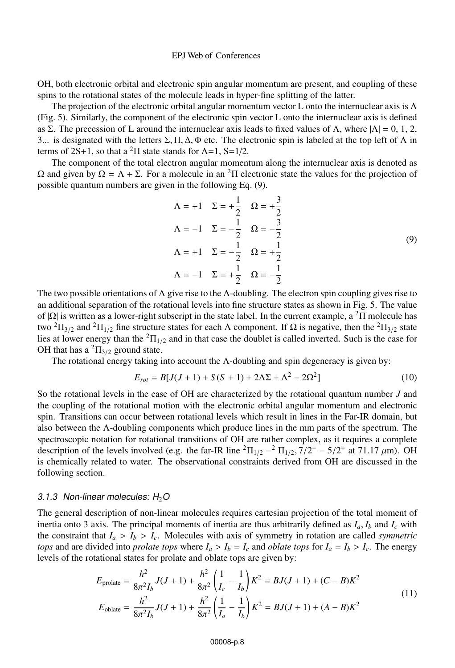OH, both electronic orbital and electronic spin angular momentum are present, and coupling of these spins to the rotational states of the molecule leads in hyper-fine splitting of the latter.

The projection of the electronic orbital angular momentum vector L onto the internuclear axis is  $\Lambda$ (Fig. 5). Similarly, the component of the electronic spin vector L onto the internuclear axis is defined as Σ. The precession of L around the internuclear axis leads to fixed values of Λ, where  $|Λ| = 0, 1, 2$ , 3... is designated with the letters  $\Sigma$ , Π, Δ, Φ etc. The electronic spin is labeled at the top left of Λ in terms of  $2S+1$ , so that a <sup>2</sup>Π state stands for  $\Lambda$ =1,  $S=1/2$ .

The component of the total electron angular momentum along the internuclear axis is denoted as  $Ω$  and given by  $Ω = Λ + Σ$ . For a molecule in an <sup>2</sup>Π electronic state the values for the projection of possible quantum numbers are given in the following Eq. (9).

$$
\Lambda = +1 \quad \Sigma = +\frac{1}{2} \quad \Omega = +\frac{3}{2}
$$
\n
$$
\Lambda = -1 \quad \Sigma = -\frac{1}{2} \quad \Omega = -\frac{3}{2}
$$
\n
$$
\Lambda = +1 \quad \Sigma = -\frac{1}{2} \quad \Omega = +\frac{1}{2}
$$
\n
$$
\Lambda = -1 \quad \Sigma = +\frac{1}{2} \quad \Omega = -\frac{1}{2}
$$
\n(9)

The two possible orientations of  $\Lambda$  give rise to the  $\Lambda$ -doubling. The electron spin coupling gives rise to an additional separation of the rotational levels into fine structure states as shown in Fig. 5. The value of  $|\Omega|$  is written as a lower-right subscript in the state label. In the current example, a <sup>2</sup>Π molecule has two <sup>2</sup> $\Pi_{3/2}$  and <sup>2</sup> $\Pi_{1/2}$  fine structure states for each Λ component. If Ω is negative, then the <sup>2</sup> $\Pi_{3/2}$  state lies at lower energy than the  ${}^{2}$  $\Pi_{1/2}$  and in that case the doublet is called inverted. Such is the case for OH that has a  ${}^{2} \Pi_{3/2}$  ground state.

The rotational energy taking into account the Λ-doubling and spin degeneracy is given by:

$$
E_{rot} = B[J(J+1) + S(S+1) + 2\Lambda\Sigma + \Lambda^2 - 2\Omega^2]
$$
\n(10)

So the rotational levels in the case of OH are characterized by the rotational quantum number *J* and the coupling of the rotational motion with the electronic orbital angular momentum and electronic spin. Transitions can occur between rotational levels which result in lines in the Far-IR domain, but also between the Λ-doubling components which produce lines in the mm parts of the spectrum. The spectroscopic notation for rotational transitions of OH are rather complex, as it requires a complete description of the levels involved (e.g. the far-IR line  ${}^{2} \Pi_{1/2} - {}^{2} \Pi_{1/2}$ , 7/2<sup>−</sup> − 5/2<sup>+</sup> at 71.17  $\mu$ m). OH is chemically related to water. The observational constraints derived from OH are discussed in the following section.

#### 3.1.3 Non-linear molecules:  $H_2O$

The general description of non-linear molecules requires cartesian projection of the total moment of inertia onto 3 axis. The principal moments of inertia are thus arbitrarily defined as  $I_a$ ,  $I_b$  and  $I_c$  with the constraint that  $I_a > I_b > I_c$ . Molecules with axis of symmetry in rotation are called *symmetric tops* and are divided into *prolate tops* where  $I_a > I_b = I_c$  and *oblate tops* for  $I_a = I_b > I_c$ . The energy levels of the rotational states for prolate and oblate tops are given by:

$$
E_{\text{prolate}} = \frac{h^2}{8\pi^2 I_b} J(J+1) + \frac{h^2}{8\pi^2} \left(\frac{1}{I_c} - \frac{1}{I_b}\right) K^2 = BJ(J+1) + (C - B)K^2
$$
  
\n
$$
E_{\text{oblate}} = \frac{h^2}{8\pi^2 I_b} J(J+1) + \frac{h^2}{8\pi^2} \left(\frac{1}{I_a} - \frac{1}{I_b}\right) K^2 = BJ(J+1) + (A - B)K^2
$$
\n(11)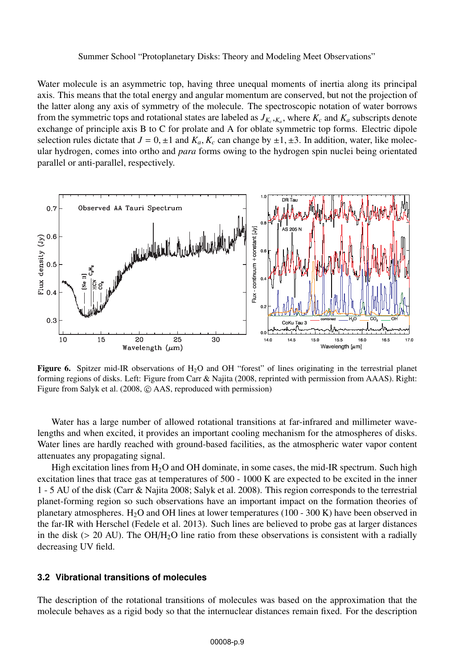Water molecule is an asymmetric top, having three unequal moments of inertia along its principal axis. This means that the total energy and angular momentum are conserved, but not the projection of the latter along any axis of symmetry of the molecule. The spectroscopic notation of water borrows from the symmetric tops and rotational states are labeled as  $J_{K_c,K_a}$ , where  $K_c$  and  $K_a$  subscripts denote exchange of principle axis B to C for prolate and A for oblate symmetric top forms. Electric dipole selection rules dictate that  $J = 0, \pm 1$  and  $K_a$ ,  $K_c$  can change by  $\pm 1, \pm 3$ . In addition, water, like molecular hydrogen, comes into ortho and *para* forms owing to the hydrogen spin nuclei being orientated parallel or anti-parallel, respectively.



**Figure 6.** Spitzer mid-IR observations of H<sub>2</sub>O and OH "forest" of lines originating in the terrestrial planet forming regions of disks. Left: Figure from Carr & Najita (2008, reprinted with permission from AAAS). Right: Figure from Salyk et al. (2008,  $\odot$  AAS, reproduced with permission)

Water has a large number of allowed rotational transitions at far-infrared and millimeter wavelengths and when excited, it provides an important cooling mechanism for the atmospheres of disks. Water lines are hardly reached with ground-based facilities, as the atmospheric water vapor content attenuates any propagating signal.

High excitation lines from  $H_2O$  and OH dominate, in some cases, the mid-IR spectrum. Such high excitation lines that trace gas at temperatures of 500 - 1000 K are expected to be excited in the inner 1 - 5 AU of the disk (Carr & Najita 2008; Salyk et al. 2008). This region corresponds to the terrestrial planet-forming region so such observations have an important impact on the formation theories of planetary atmospheres. H<sub>2</sub>O and OH lines at lower temperatures (100 - 300 K) have been observed in the far-IR with Herschel (Fedele et al. 2013). Such lines are believed to probe gas at larger distances in the disk ( $> 20$  AU). The OH/H<sub>2</sub>O line ratio from these observations is consistent with a radially decreasing UV field.

## **3.2 Vibrational transitions of molecules**

The description of the rotational transitions of molecules was based on the approximation that the molecule behaves as a rigid body so that the internuclear distances remain fixed. For the description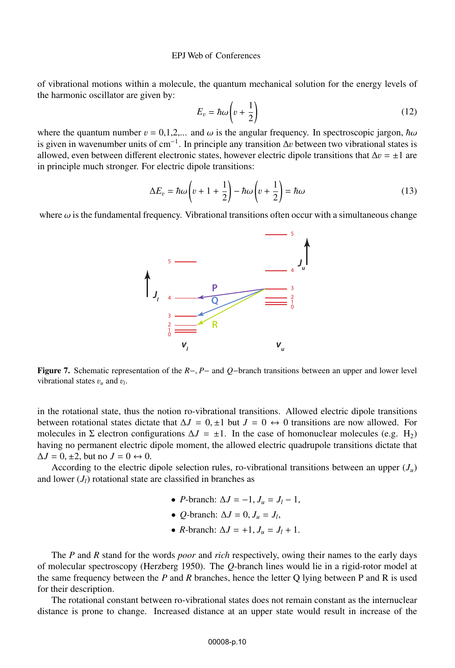of vibrational motions within a molecule, the quantum mechanical solution for the energy levels of the harmonic oscillator are given by:

$$
E_v = \hbar \omega \left(v + \frac{1}{2}\right) \tag{12}
$$

where the quantum number  $v = 0.1, 2, \dots$  and  $\omega$  is the angular frequency. In spectroscopic jargon,  $\hbar \omega$ is given in wavenumber units of cm<sup>-1</sup>. In principle any transition  $\Delta v$  between two vibrational states is allowed even between different electronic states however electric dipole transitions that  $\Delta v = +1$  are allowed, even between different electronic states, however electric dipole transitions that  $\Delta v = \pm 1$  are in principle much stronger. For electric dipole transitions:

$$
\Delta E_v = \hbar \omega \left( v + 1 + \frac{1}{2} \right) - \hbar \omega \left( v + \frac{1}{2} \right) = \hbar \omega \tag{13}
$$

where  $\omega$  is the fundamental frequency. Vibrational transitions often occur with a simultaneous change



Figure 7. Schematic representation of the *<sup>R</sup>*−, *<sup>P</sup>*<sup>−</sup> and *<sup>Q</sup>*−branch transitions between an upper and lower level vibrational states <sup>v</sup>*<sup>u</sup>* and <sup>v</sup>*<sup>l</sup>*.

in the rotational state, thus the notion ro-vibrational transitions. Allowed electric dipole transitions between rotational states dictate that  $\Delta J = 0, \pm 1$  but  $J = 0 \leftrightarrow 0$  transitions are now allowed. For molecules in  $\Sigma$  electron configurations  $\Delta J = \pm 1$ . In the case of homonuclear molecules (e.g. H<sub>2</sub>) having no permanent electric dipole moment, the allowed electric quadrupole transitions dictate that  $\Delta J = 0, \pm 2$ , but no  $J = 0 \leftrightarrow 0$ .

According to the electric dipole selection rules, ro-vibrational transitions between an upper  $(J_u)$ and lower  $(J<sub>l</sub>)$  rotational state are classified in branches as

- *P*-branch:  $\Delta J = -1$ ,  $J_u = J_l 1$ ,
- *O*-branch:  $\Delta J = 0$ ,  $J_u = J_l$ ,
- *R*-branch:  $\Delta J = +1, J_u = J_l + 1$ .

The *P* and *R* stand for the words *poor* and *rich* respectively, owing their names to the early days of molecular spectroscopy (Herzberg 1950). The *Q*-branch lines would lie in a rigid-rotor model at the same frequency between the *P* and *R* branches, hence the letter Q lying between P and R is used for their description.

The rotational constant between ro-vibrational states does not remain constant as the internuclear distance is prone to change. Increased distance at an upper state would result in increase of the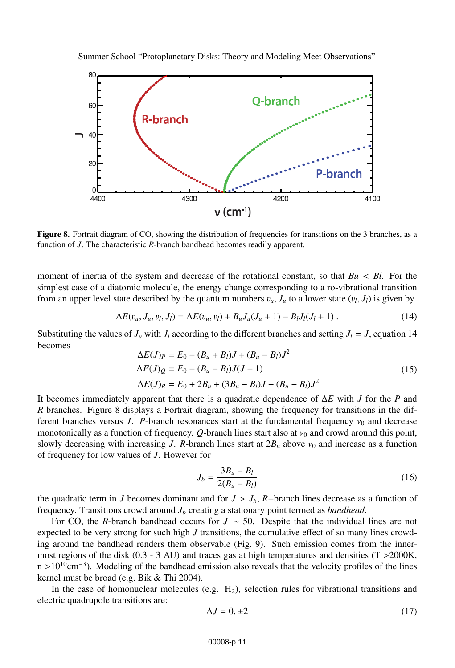

Figure 8. Fortrait diagram of CO, showing the distribution of frequencies for transitions on the 3 branches, as a function of *J*. The characteristic *R*-branch bandhead becomes readily apparent.

moment of inertia of the system and decrease of the rotational constant, so that *Bu* < *Bl*. For the simplest case of a diatomic molecule, the energy change corresponding to a ro-vibrational transition from an upper level state described by the quantum numbers  $v_u$ ,  $J_u$  to a lower state  $(v_l, J_l)$  is given by

$$
\Delta E(v_u, J_u, v_l, J_l) = \Delta E(v_u, v_l) + B_u J_u (J_u + 1) - B_l J_l (J_l + 1) \,. \tag{14}
$$

Substituting the values of  $J_u$  with  $J_l$  according to the different branches and setting  $J_l = J$ , equation 14 becomes

$$
\Delta E(J)_P = E_0 - (B_u + B_l)J + (B_u - B_l)J^2
$$
  
\n
$$
\Delta E(J)_Q = E_0 - (B_u - B_l)J(J + 1)
$$
  
\n
$$
\Delta E(J)_R = E_0 + 2B_u + (3B_u - B_l)J + (B_u - B_l)J^2
$$
\n(15)

It becomes immediately apparent that there is a quadratic dependence of Δ*E* with *J* for the *P* and *R* branches. Figure 8 displays a Fortrait diagram, showing the frequency for transitions in the different branches versus *J. P*-branch resonances start at the fundamental frequency  $v_0$  and decrease monotonically as a function of frequency.  $Q$ -branch lines start also at  $v_0$  and crowd around this point, slowly decreasing with increasing *J*. *R*-branch lines start at  $2B_u$  above  $v_0$  and increase as a function of frequency for low values of *J*. However for

$$
J_b = \frac{3B_u - B_l}{2(B_u - B_l)}
$$
(16)

the quadratic term in *J* becomes dominant and for  $J > J_b$ , *R*−branch lines decrease as a function of frequency. Transitions crowd around *Jb* creating a stationary point termed as *bandhead*.

For CO, the *R*-branch bandhead occurs for *J* ∼ 50. Despite that the individual lines are not expected to be very strong for such high *J* transitions, the cumulative effect of so many lines crowding around the bandhead renders them observable (Fig. 9). Such emission comes from the innermost regions of the disk  $(0.3 - 3 \text{ AU})$  and traces gas at high temperatures and densities  $(T > 2000 \text{K})$ , n >10<sup>10</sup>cm<sup>-3</sup>). Modeling of the bandhead emission also reveals that the velocity profiles of the lines kernel must be broad (e.g. Bik & Thi 2004).

In the case of homonuclear molecules (e.g.  $H_2$ ), selection rules for vibrational transitions and electric quadrupole transitions are:

$$
\Delta J = 0, \pm 2 \tag{17}
$$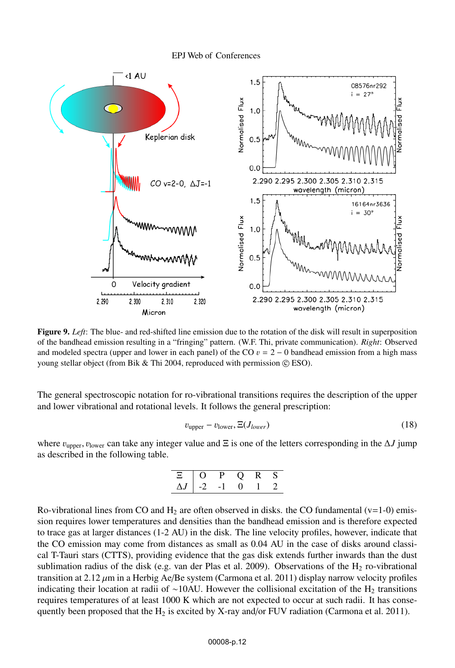

Figure 9. *Left*: The blue- and red-shifted line emission due to the rotation of the disk will result in superposition of the bandhead emission resulting in a "fringing" pattern. (W.F. Thi, private communication). *Right*: Observed and modeled spectra (upper and lower in each panel) of the CO  $v = 2 - 0$  bandhead emission from a high mass young stellar object (from Bik  $&$  Thi 2004, reproduced with permission  $\odot$  ESO).

The general spectroscopic notation for ro-vibrational transitions requires the description of the upper and lower vibrational and rotational levels. It follows the general prescription:

$$
v_{\text{upper}} - v_{\text{lower}}, \Xi(J_{lower}) \tag{18}
$$

where <sup>v</sup>upper, vlower can take any integer value and <sup>Ξ</sup> is one of the letters corresponding in the <sup>Δ</sup>*<sup>J</sup>* jump as described in the following table.

| $\blacksquare$ | $\lambda$ |  |  |
|----------------|-----------|--|--|
| $\Delta I$     |           |  |  |

Ro-vibrational lines from CO and  $H_2$  are often observed in disks. the CO fundamental (v=1-0) emission requires lower temperatures and densities than the bandhead emission and is therefore expected to trace gas at larger distances (1-2 AU) in the disk. The line velocity profiles, however, indicate that the CO emission may come from distances as small as 0.04 AU in the case of disks around classical T-Tauri stars (CTTS), providing evidence that the gas disk extends further inwards than the dust sublimation radius of the disk (e.g. van der Plas et al. 2009). Observations of the  $H_2$  ro-vibrational transition at  $2.12 \mu$ m in a Herbig Ae/Be system (Carmona et al. 2011) display narrow velocity profiles indicating their location at radii of ∼10AU. However the collisional excitation of the H<sub>2</sub> transitions requires temperatures of at least 1000 K which are not expected to occur at such radii. It has consequently been proposed that the  $H_2$  is excited by X-ray and/or FUV radiation (Carmona et al. 2011).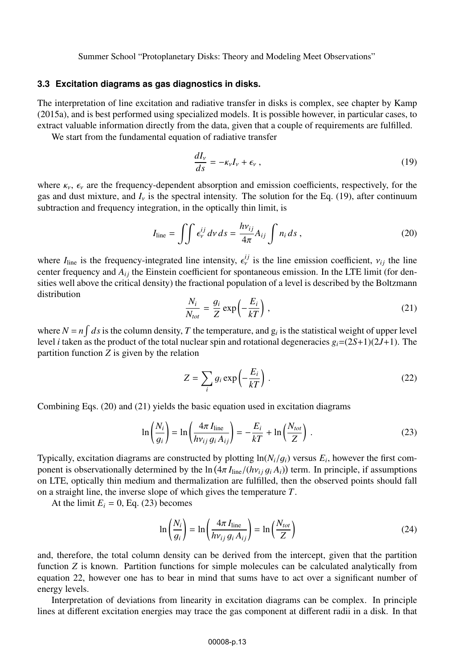## **3.3 Excitation diagrams as gas diagnostics in disks.**

The interpretation of line excitation and radiative transfer in disks is complex, see chapter by Kamp (2015a), and is best performed using specialized models. It is possible however, in particular cases, to extract valuable information directly from the data, given that a couple of requirements are fulfilled.

We start from the fundamental equation of radiative transfer

$$
\frac{dI_v}{ds} = -\kappa_v I_v + \epsilon_v \,,\tag{19}
$$

where  $\kappa_{\nu}$ ,  $\epsilon_{\nu}$  are the frequency-dependent absorption and emission coefficients, respectively, for the gas and dust mixture, and  $I<sub>v</sub>$  is the spectral intensity. The solution for the Eq. (19), after continuum subtraction and frequency integration, in the optically thin limit, is

$$
I_{\text{line}} = \iint \epsilon_{\nu}^{ij} d\nu \, ds = \frac{h v_{ij}}{4\pi} A_{ij} \int n_i \, ds \,, \tag{20}
$$

where  $I_{\text{line}}$  is the frequency-integrated line intensity,  $\epsilon_{\nu}^{i j}$  is the line emission coefficient,  $v_{i j}$  the line center frequency and  $A_{\nu}$  the Einstein coefficient for spontaneous emission. In the LTE limit center frequency and  $A_{ij}$  the Einstein coefficient for spontaneous emission. In the LTE limit (for densities well above the critical density) the fractional population of a level is described by the Boltzmann distribution

$$
\frac{N_i}{N_{tot}} = \frac{g_i}{Z} \exp\left(-\frac{E_i}{kT}\right),\tag{21}
$$

where  $N = n \int ds$  is the column density, *T* the temperature, and  $g_i$  is the statistical weight of upper level level *i* taken as the product of the total nuclear spin and rotational degeneracies  $g_i=(2S+1)(2J+1)$ . The partition function *Z* is given by the relation

$$
Z = \sum_{i} g_i \exp\left(-\frac{E_i}{kT}\right). \tag{22}
$$

Combining Eqs. (20) and (21) yields the basic equation used in excitation diagrams

$$
\ln\left(\frac{N_i}{g_i}\right) = \ln\left(\frac{4\pi I_{\text{line}}}{h\nu_{ij} g_i A_{ij}}\right) = -\frac{E_i}{kT} + \ln\left(\frac{N_{tot}}{Z}\right) \,. \tag{23}
$$

Typically, excitation diagrams are constructed by plotting  $\ln(N_i/q_i)$  versus  $E_i$ , however the first component is observationally determined by the  $\ln(4\pi I_{\text{line}}/(\hbar v_{ij} g_i A_i))$  term. In principle, if assumptions on ITE optically thin medium and thermalization are fulfilled, then the observed points should fall on LTE, optically thin medium and thermalization are fulfilled, then the observed points should fall on a straight line, the inverse slope of which gives the temperature *T*.

At the limit  $E_i = 0$ , Eq. (23) becomes

$$
\ln\left(\frac{N_i}{g_i}\right) = \ln\left(\frac{4\pi I_{\text{line}}}{h\nu_{ij} g_i A_{ij}}\right) = \ln\left(\frac{N_{tot}}{Z}\right)
$$
 (24)

and, therefore, the total column density can be derived from the intercept, given that the partition function *Z* is known. Partition functions for simple molecules can be calculated analytically from equation 22, however one has to bear in mind that sums have to act over a significant number of energy levels.

Interpretation of deviations from linearity in excitation diagrams can be complex. In principle lines at different excitation energies may trace the gas component at different radii in a disk. In that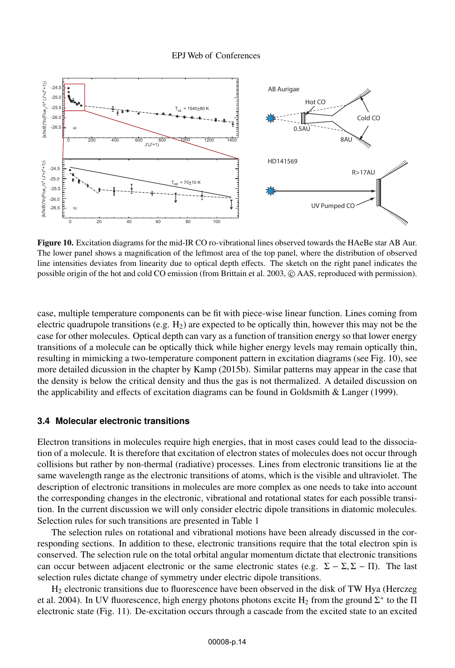

Figure 10. Excitation diagrams for the mid-IR CO ro-vibrational lines observed towards the HAeBe star AB Aur. The lower panel shows a magnification of the leftmost area of the top panel, where the distribution of observed line intensities deviates from linearity due to optical depth effects. The sketch on the right panel indicates the possible origin of the hot and cold CO emission (from Brittain et al. 2003,  $\odot$  AAS, reproduced with permission).

case, multiple temperature components can be fit with piece-wise linear function. Lines coming from electric quadrupole transitions (e.g.  $H_2$ ) are expected to be optically thin, however this may not be the case for other molecules. Optical depth can vary as a function of transition energy so that lower energy transitions of a molecule can be optically thick while higher energy levels may remain optically thin, resulting in mimicking a two-temperature component pattern in excitation diagrams (see Fig. 10), see more detailed dicussion in the chapter by Kamp (2015b). Similar patterns may appear in the case that the density is below the critical density and thus the gas is not thermalized. A detailed discussion on the applicability and effects of excitation diagrams can be found in Goldsmith & Langer (1999).

## **3.4 Molecular electronic transitions**

Electron transitions in molecules require high energies, that in most cases could lead to the dissociation of a molecule. It is therefore that excitation of electron states of molecules does not occur through collisions but rather by non-thermal (radiative) processes. Lines from electronic transitions lie at the same wavelength range as the electronic transitions of atoms, which is the visible and ultraviolet. The description of electronic transitions in molecules are more complex as one needs to take into account the corresponding changes in the electronic, vibrational and rotational states for each possible transition. In the current discussion we will only consider electric dipole transitions in diatomic molecules. Selection rules for such transitions are presented in Table 1

The selection rules on rotational and vibrational motions have been already discussed in the corresponding sections. In addition to these, electronic transitions require that the total electron spin is conserved. The selection rule on the total orbital angular momentum dictate that electronic transitions can occur between adjacent electronic or the same electronic states (e.g.  $\Sigma - \Sigma, \Sigma - \Pi$ ). The last selection rules dictate change of symmetry under electric dipole transitions.

H2 electronic transitions due to fluorescence have been observed in the disk of TW Hya (Herczeg et al. 2004). In UV fluorescence, high energy photons photons excite H<sub>2</sub> from the ground  $\Sigma^+$  to the  $\Pi$ electronic state (Fig. 11). De-excitation occurs through a cascade from the excited state to an excited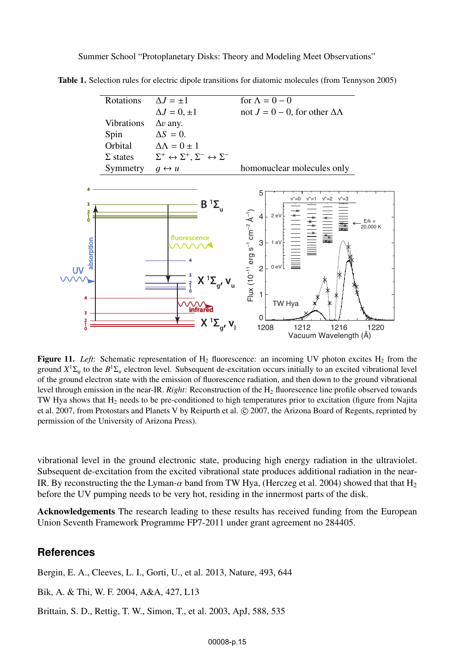

Table 1. Selection rules for electric dipole transitions for diatomic molecules (from Tennyson 2005)

Figure 11. *Left*: Schematic representation of H<sub>2</sub> fluorescence: an incoming UV photon excites H<sub>2</sub> from the ground  $X<sup>1</sup>\Sigma_a$  to the  $B<sup>1</sup>\Sigma_a$  electron level. Subsequent de-excitation occurs initially to an excited vibrational level of the ground electron state with the emission of fluorescence radiation, and then down to the ground vibrational level through emission in the near-IR. *Right*: Reconstruction of the H<sub>2</sub> fluorescence line profile observed towards TW Hya shows that  $H_2$  needs to be pre-conditioned to high temperatures prior to excitation (figure from Najita et al. 2007, from Protostars and Planets V by Reipurth et al. © 2007, the Arizona Board of Regents, reprinted by permission of the University of Arizona Press).

vibrational level in the ground electronic state, producing high energy radiation in the ultraviolet. Subsequent de-excitation from the excited vibrational state produces additional radiation in the near-IR. By reconstructing the the Lyman- $\alpha$  band from TW Hya, (Herczeg et al. 2004) showed that that H<sub>2</sub> before the UV pumping needs to be very hot, residing in the innermost parts of the disk.

Acknowledgements The research leading to these results has received funding from the European Union Seventh Framework Programme FP7-2011 under grant agreement no 284405.

## **References**

Bergin, E. A., Cleeves, L. I., Gorti, U., et al. 2013, Nature, 493, 644

Bik, A. & Thi, W. F. 2004, A&A, 427, L13

Brittain, S. D., Rettig, T. W., Simon, T., et al. 2003, ApJ, 588, 535